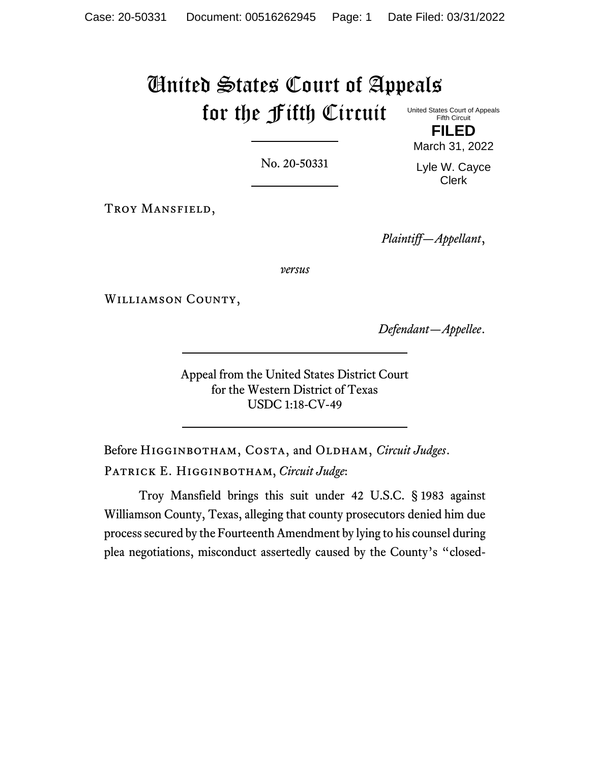## United States Court of Appeals for the Fifth Circuit United States Court of Appeals Fifth Circuit

No. 20-50331

March 31, 2022

Troy Mansfield,

*Plaintiff—Appellant*,

*versus*

Williamson County,

*Defendant—Appellee*.

Appeal from the United States District Court for the Western District of Texas USDC 1:18-CV-49

Before HIGGINBOTHAM, COSTA, and OLDHAM, *Circuit Judges*. Patrick E. Higginbotham, *Circuit Judge*:

Troy Mansfield brings this suit under 42 U.S.C. § 1983 against Williamson County, Texas, alleging that county prosecutors denied him due process secured by the Fourteenth Amendment by lying to his counsel during plea negotiations, misconduct assertedly caused by the County's "closed-

**FILED** Lyle W. Cayce

Clerk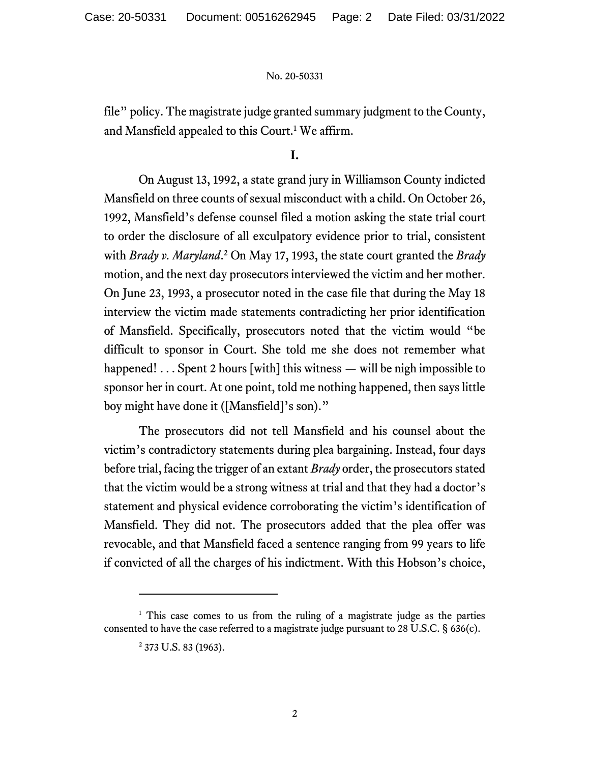file" policy. The magistrate judge granted summary judgment to the County, and Mansfield appealed to this Court.<sup>1</sup> We affirm.

**I.**

On August 13, 1992, a state grand jury in Williamson County indicted Mansfield on three counts of sexual misconduct with a child. On October 26, 1992, Mansfield's defense counsel filed a motion asking the state trial court to order the disclosure of all exculpatory evidence prior to trial, consistent with *Brady v. Maryland*. <sup>2</sup> On May 17, 1993, the state court granted the *Brady* motion, and the next day prosecutors interviewed the victim and her mother. On June 23, 1993, a prosecutor noted in the case file that during the May 18 interview the victim made statements contradicting her prior identification of Mansfield. Specifically, prosecutors noted that the victim would "be difficult to sponsor in Court. She told me she does not remember what happened! . . . Spent 2 hours [with] this witness — will be nigh impossible to sponsor her in court. At one point, told me nothing happened, then says little boy might have done it ([Mansfield]'s son)."

The prosecutors did not tell Mansfield and his counsel about the victim's contradictory statements during plea bargaining. Instead, four days before trial, facing the trigger of an extant *Brady* order, the prosecutors stated that the victim would be a strong witness at trial and that they had a doctor's statement and physical evidence corroborating the victim's identification of Mansfield. They did not. The prosecutors added that the plea offer was revocable, and that Mansfield faced a sentence ranging from 99 years to life if convicted of all the charges of his indictment. With this Hobson's choice,

<sup>&</sup>lt;sup>1</sup> This case comes to us from the ruling of a magistrate judge as the parties consented to have the case referred to a magistrate judge pursuant to 28 U.S.C. § 636(c).

<sup>&</sup>lt;sup>2</sup> 373 U.S. 83 (1963).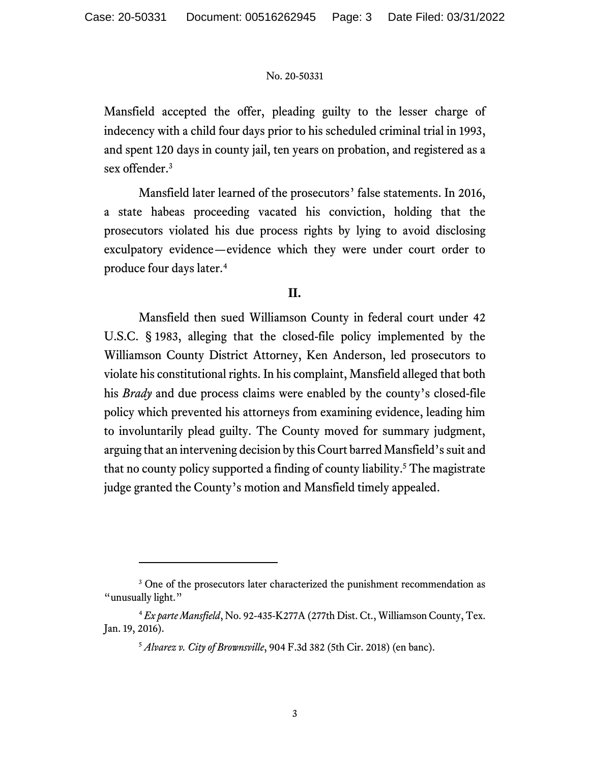Mansfield accepted the offer, pleading guilty to the lesser charge of indecency with a child four days prior to his scheduled criminal trial in 1993, and spent 120 days in county jail, ten years on probation, and registered as a sex offender.<sup>3</sup>

Mansfield later learned of the prosecutors' false statements. In 2016, a state habeas proceeding vacated his conviction, holding that the prosecutors violated his due process rights by lying to avoid disclosing exculpatory evidence—evidence which they were under court order to produce four days later.<sup>4</sup>

## **II.**

Mansfield then sued Williamson County in federal court under 42 U.S.C. § 1983, alleging that the closed-file policy implemented by the Williamson County District Attorney, Ken Anderson, led prosecutors to violate his constitutional rights. In his complaint, Mansfield alleged that both his *Brady* and due process claims were enabled by the county's closed-file policy which prevented his attorneys from examining evidence, leading him to involuntarily plead guilty. The County moved for summary judgment, arguing that an intervening decision by this Court barred Mansfield's suit and that no county policy supported a finding of county liability. <sup>5</sup> The magistrate judge granted the County's motion and Mansfield timely appealed.

<sup>&</sup>lt;sup>3</sup> One of the prosecutors later characterized the punishment recommendation as "unusually light."

<sup>4</sup> *Ex parte Mansfield*, No. 92-435-K277A (277th Dist. Ct., Williamson County, Tex. Jan. 19, 2016).

<sup>5</sup> *Alvarez v. City of Brownsville*, 904 F.3d 382 (5th Cir. 2018) (en banc).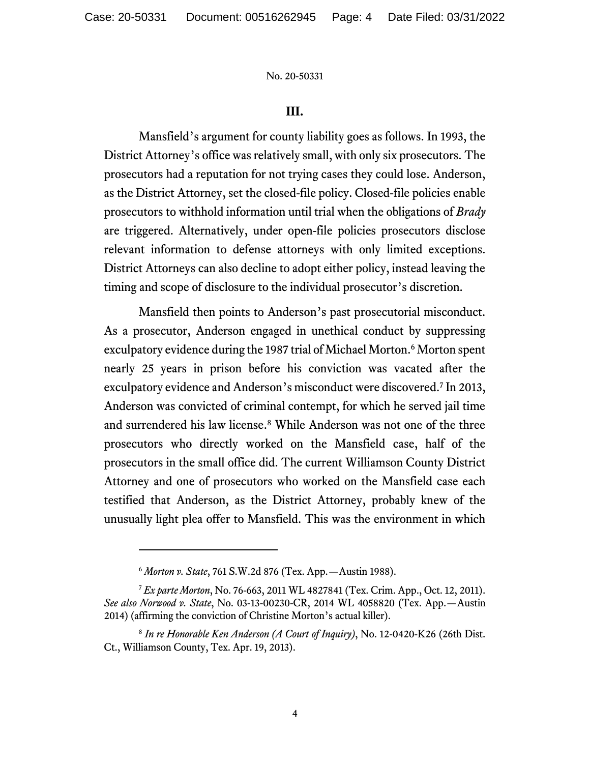### **III.**

Mansfield's argument for county liability goes as follows. In 1993, the District Attorney's office was relatively small, with only six prosecutors. The prosecutors had a reputation for not trying cases they could lose. Anderson, as the District Attorney, set the closed-file policy. Closed-file policies enable prosecutors to withhold information until trial when the obligations of *Brady*  are triggered. Alternatively, under open-file policies prosecutors disclose relevant information to defense attorneys with only limited exceptions. District Attorneys can also decline to adopt either policy, instead leaving the timing and scope of disclosure to the individual prosecutor's discretion.

Mansfield then points to Anderson's past prosecutorial misconduct. As a prosecutor, Anderson engaged in unethical conduct by suppressing exculpatory evidence during the 1987 trial of Michael Morton.<sup>6</sup> Morton spent nearly 25 years in prison before his conviction was vacated after the exculpatory evidence and Anderson's misconduct were discovered.<sup>7</sup> In 2013, Anderson was convicted of criminal contempt, for which he served jail time and surrendered his law license. <sup>8</sup> While Anderson was not one of the three prosecutors who directly worked on the Mansfield case, half of the prosecutors in the small office did. The current Williamson County District Attorney and one of prosecutors who worked on the Mansfield case each testified that Anderson, as the District Attorney, probably knew of the unusually light plea offer to Mansfield. This was the environment in which

<sup>6</sup> *Morton v. State*, 761 S.W.2d 876 (Tex. App.—Austin 1988).

<sup>7</sup> *Ex parte Morton*, No. 76-663, 2011 WL 4827841 (Tex. Crim. App., Oct. 12, 2011). *See also Norwood v. State*, No. 03-13-00230-CR, 2014 WL 4058820 (Tex. App.—Austin 2014) (affirming the conviction of Christine Morton's actual killer).

<sup>8</sup> *In re Honorable Ken Anderson (A Court of Inquiry)*, No. 12-0420-K26 (26th Dist. Ct., Williamson County, Tex. Apr. 19, 2013).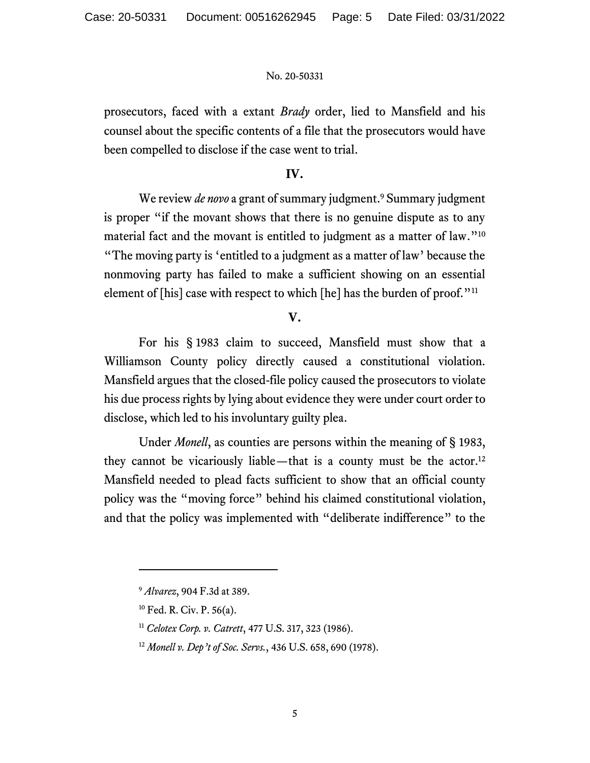prosecutors, faced with a extant *Brady* order, lied to Mansfield and his counsel about the specific contents of a file that the prosecutors would have been compelled to disclose if the case went to trial.

## **IV.**

We review *de novo* a grant of summary judgment. <sup>9</sup> Summary judgment is proper "if the movant shows that there is no genuine dispute as to any material fact and the movant is entitled to judgment as a matter of law."<sup>10</sup> "The moving party is 'entitled to a judgment as a matter of law' because the nonmoving party has failed to make a sufficient showing on an essential element of [his] case with respect to which [he] has the burden of proof."<sup>11</sup>

**V.**

For his § 1983 claim to succeed, Mansfield must show that a Williamson County policy directly caused a constitutional violation. Mansfield argues that the closed-file policy caused the prosecutors to violate his due process rights by lying about evidence they were under court order to disclose, which led to his involuntary guilty plea.

Under *Monell*, as counties are persons within the meaning of § 1983, they cannot be vicariously liable—that is a county must be the actor.<sup>12</sup> Mansfield needed to plead facts sufficient to show that an official county policy was the "moving force" behind his claimed constitutional violation, and that the policy was implemented with "deliberate indifference" to the

<sup>9</sup> *Alvarez*, 904 F.3d at 389.

<sup>10</sup> Fed. R. Civ. P. 56(a).

<sup>11</sup> *Celotex Corp. v. Catrett*, 477 U.S. 317, 323 (1986).

<sup>12</sup> *Monell v. Dep't of Soc. Servs.*, 436 U.S. 658, 690 (1978).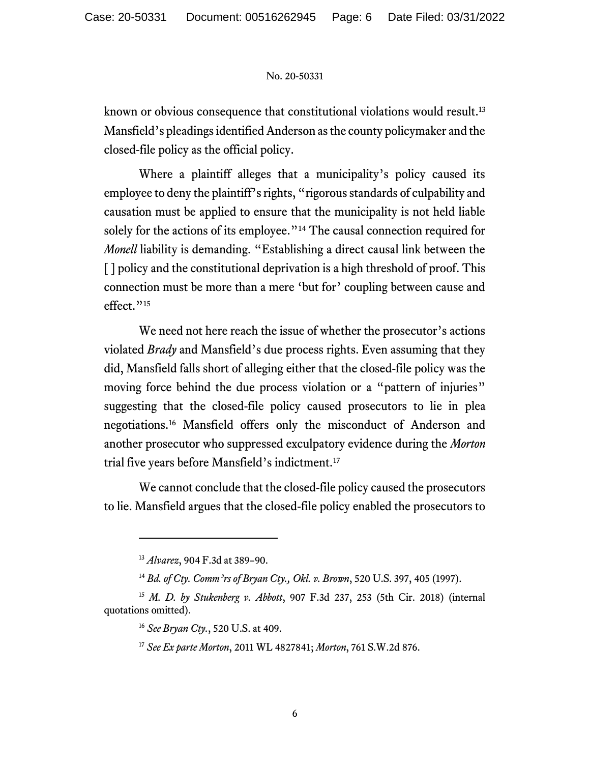known or obvious consequence that constitutional violations would result.<sup>13</sup> Mansfield's pleadings identified Anderson as the county policymaker and the closed-file policy as the official policy.

Where a plaintiff alleges that a municipality's policy caused its employee to deny the plaintiff's rights, "rigorous standards of culpability and causation must be applied to ensure that the municipality is not held liable solely for the actions of its employee."<sup>14</sup> The causal connection required for *Monell* liability is demanding. "Establishing a direct causal link between the [ ] policy and the constitutional deprivation is a high threshold of proof. This connection must be more than a mere 'but for' coupling between cause and effect."<sup>15</sup>

We need not here reach the issue of whether the prosecutor's actions violated *Brady* and Mansfield's due process rights. Even assuming that they did, Mansfield falls short of alleging either that the closed-file policy was the moving force behind the due process violation or a "pattern of injuries" suggesting that the closed-file policy caused prosecutors to lie in plea negotiations.<sup>16</sup> Mansfield offers only the misconduct of Anderson and another prosecutor who suppressed exculpatory evidence during the *Morton* trial five years before Mansfield's indictment.<sup>17</sup>

We cannot conclude that the closed-file policy caused the prosecutors to lie. Mansfield argues that the closed-file policy enabled the prosecutors to

<sup>13</sup> *Alvarez*, 904 F.3d at 389–90.

<sup>14</sup> *Bd. of Cty. Comm'rs of Bryan Cty., Okl. v. Brown*, 520 U.S. 397, 405 (1997).

<sup>15</sup> *M. D. by Stukenberg v. Abbott*, 907 F.3d 237, 253 (5th Cir. 2018) (internal quotations omitted).

<sup>16</sup> *See Bryan Cty.*, 520 U.S. at 409.

<sup>17</sup> *See Ex parte Morton*, 2011 WL 4827841; *Morton*, 761 S.W.2d 876.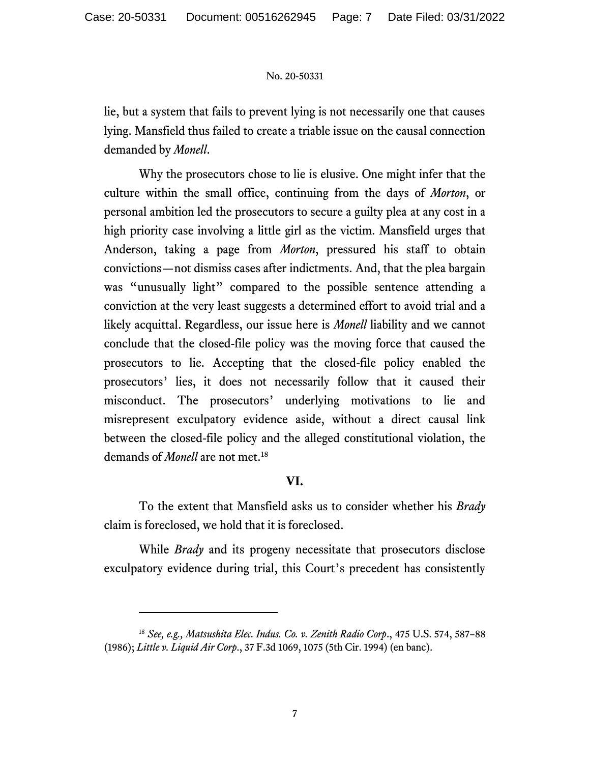lie, but a system that fails to prevent lying is not necessarily one that causes lying. Mansfield thus failed to create a triable issue on the causal connection demanded by *Monell*.

Why the prosecutors chose to lie is elusive. One might infer that the culture within the small office, continuing from the days of *Morton*, or personal ambition led the prosecutors to secure a guilty plea at any cost in a high priority case involving a little girl as the victim. Mansfield urges that Anderson, taking a page from *Morton*, pressured his staff to obtain convictions—not dismiss cases after indictments. And, that the plea bargain was "unusually light" compared to the possible sentence attending a conviction at the very least suggests a determined effort to avoid trial and a likely acquittal. Regardless, our issue here is *Monell* liability and we cannot conclude that the closed-file policy was the moving force that caused the prosecutors to lie. Accepting that the closed-file policy enabled the prosecutors' lies, it does not necessarily follow that it caused their misconduct. The prosecutors' underlying motivations to lie and misrepresent exculpatory evidence aside, without a direct causal link between the closed-file policy and the alleged constitutional violation, the demands of *Monell* are not met. 18

## **VI.**

To the extent that Mansfield asks us to consider whether his *Brady*  claim is foreclosed, we hold that it is foreclosed.

While *Brady* and its progeny necessitate that prosecutors disclose exculpatory evidence during trial, this Court's precedent has consistently

<sup>18</sup> *See, e.g., Matsushita Elec. Indus. Co. v. Zenith Radio Corp*., 475 U.S. 574, 587–88 (1986); *Little v. Liquid Air Corp*., 37 F.3d 1069, 1075 (5th Cir. 1994) (en banc).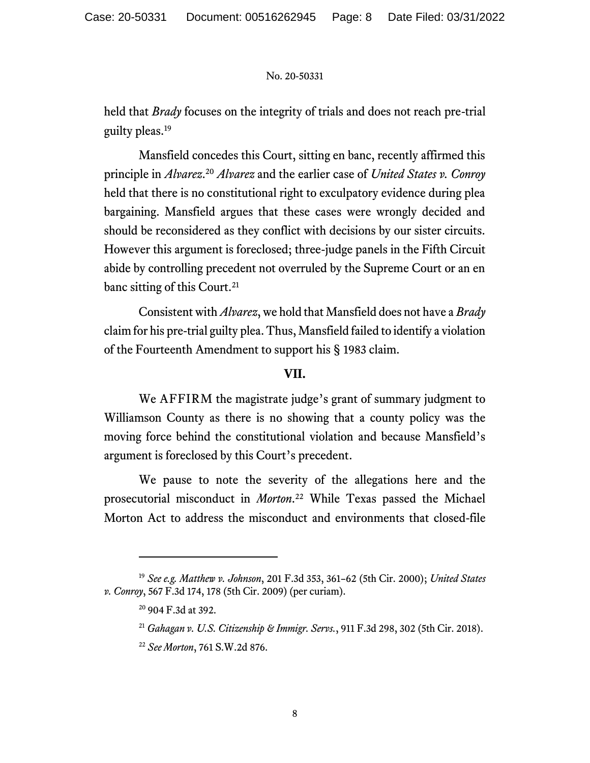held that *Brady* focuses on the integrity of trials and does not reach pre-trial guilty pleas.<sup>19</sup>

Mansfield concedes this Court, sitting en banc, recently affirmed this principle in *Alvarez*.<sup>20</sup> Alvarez and the earlier case of *United States v. Conroy* held that there is no constitutional right to exculpatory evidence during plea bargaining. Mansfield argues that these cases were wrongly decided and should be reconsidered as they conflict with decisions by our sister circuits. However this argument is foreclosed; three-judge panels in the Fifth Circuit abide by controlling precedent not overruled by the Supreme Court or an en banc sitting of this Court.<sup>21</sup>

Consistent with *Alvarez*, we hold that Mansfield does not have a *Brady* claim for his pre-trial guilty plea. Thus, Mansfield failed to identify a violation of the Fourteenth Amendment to support his § 1983 claim.

## **VII.**

We AFFIRM the magistrate judge's grant of summary judgment to Williamson County as there is no showing that a county policy was the moving force behind the constitutional violation and because Mansfield's argument is foreclosed by this Court's precedent.

We pause to note the severity of the allegations here and the prosecutorial misconduct in *Morton*. <sup>22</sup> While Texas passed the Michael Morton Act to address the misconduct and environments that closed-file

<sup>22</sup> *See Morton*, 761 S.W.2d 876.

<sup>19</sup> *See e.g. Matthew v. Johnson*, 201 F.3d 353, 361–62 (5th Cir. 2000); *United States v. Conroy*, 567 F.3d 174, 178 (5th Cir. 2009) (per curiam).

<sup>20</sup> 904 F.3d at 392.

<sup>21</sup> *Gahagan v. U.S. Citizenship & Immigr. Servs.*, 911 F.3d 298, 302 (5th Cir. 2018).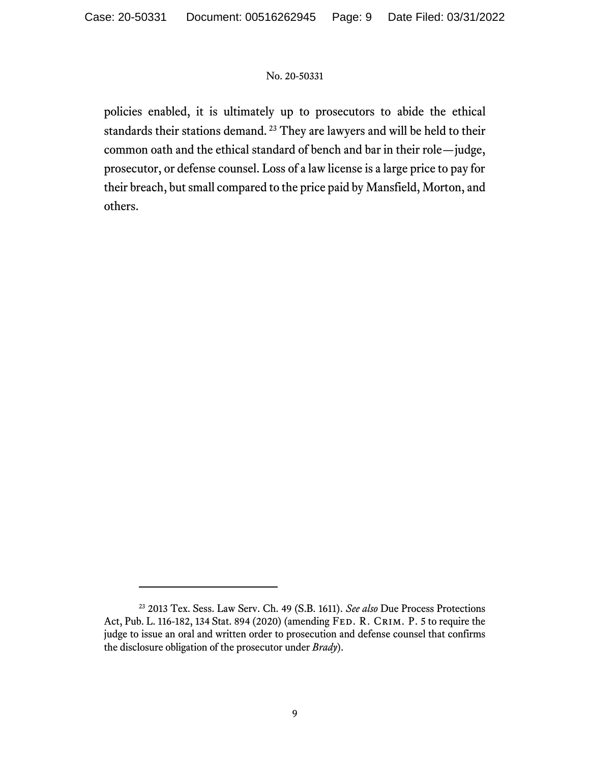policies enabled, it is ultimately up to prosecutors to abide the ethical standards their stations demand. <sup>23</sup> They are lawyers and will be held to their common oath and the ethical standard of bench and bar in their role—judge, prosecutor, or defense counsel. Loss of a law license is a large price to pay for their breach, but small compared to the price paid by Mansfield, Morton, and others.

<sup>23</sup> 2013 Tex. Sess. Law Serv. Ch. 49 (S.B. 1611). *See also* Due Process Protections Act, Pub. L. 116-182, 134 Stat. 894 (2020) (amending Fed. R. Crim. P. 5 to require the judge to issue an oral and written order to prosecution and defense counsel that confirms the disclosure obligation of the prosecutor under *Brady*).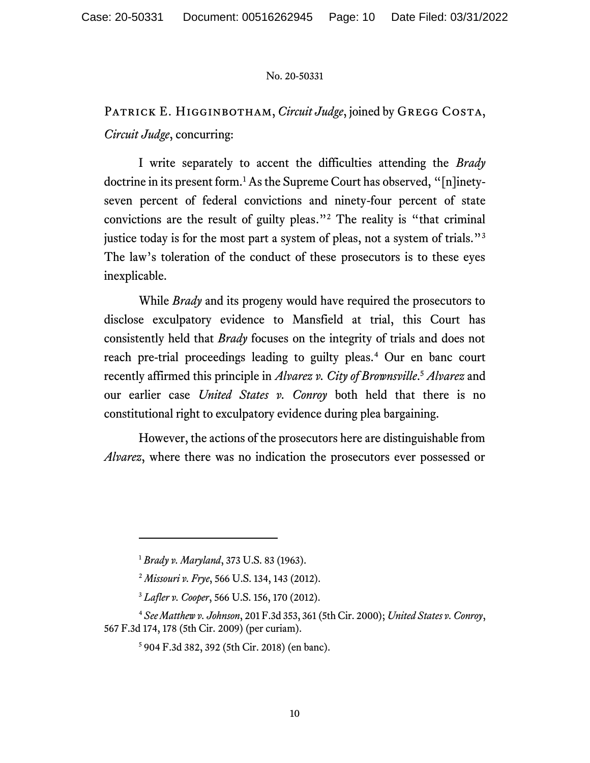# PATRICK E. HIGGINBOTHAM, *Circuit Judge*, joined by GREGG COSTA, *Circuit Judge*, concurring:

I write separately to accent the difficulties attending the *Brady*  doctrine in its present form.<sup>1</sup> As the Supreme Court has observed, "[n]inetyseven percent of federal convictions and ninety-four percent of state convictions are the result of guilty pleas."<sup>2</sup> The reality is "that criminal justice today is for the most part a system of pleas, not a system of trials."<sup>3</sup> The law's toleration of the conduct of these prosecutors is to these eyes inexplicable.

While *Brady* and its progeny would have required the prosecutors to disclose exculpatory evidence to Mansfield at trial, this Court has consistently held that *Brady* focuses on the integrity of trials and does not reach pre-trial proceedings leading to guilty pleas.<sup>4</sup> Our en banc court recently affirmed this principle in *Alvarez v. City of Brownsville*. <sup>5</sup> *Alvarez* and our earlier case *United States v. Conroy* both held that there is no constitutional right to exculpatory evidence during plea bargaining.

However, the actions of the prosecutors here are distinguishable from *Alvarez*, where there was no indication the prosecutors ever possessed or

<sup>1</sup> *Brady v. Maryland*, 373 U.S. 83 (1963).

<sup>2</sup> *Missouri v. Frye*, 566 U.S. 134, 143 (2012).

<sup>3</sup> *Lafler v. Cooper*, 566 U.S. 156, 170 (2012).

<sup>4</sup> *See Matthew v. Johnson*, 201 F.3d 353, 361 (5th Cir. 2000); *United States v. Conroy*, 567 F.3d 174, 178 (5th Cir. 2009) (per curiam).

<sup>5</sup> 904 F.3d 382, 392 (5th Cir. 2018) (en banc).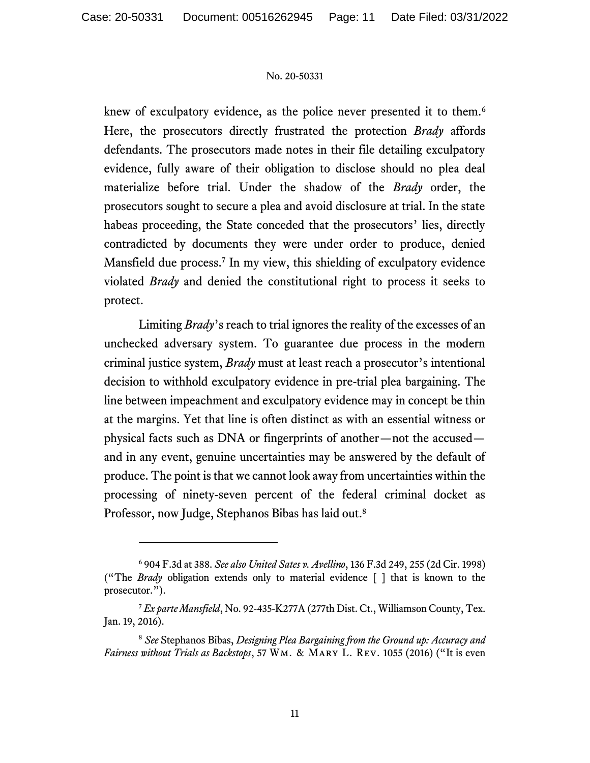knew of exculpatory evidence, as the police never presented it to them.<sup>6</sup> Here, the prosecutors directly frustrated the protection *Brady* affords defendants. The prosecutors made notes in their file detailing exculpatory evidence, fully aware of their obligation to disclose should no plea deal materialize before trial. Under the shadow of the *Brady* order, the prosecutors sought to secure a plea and avoid disclosure at trial. In the state habeas proceeding, the State conceded that the prosecutors' lies, directly contradicted by documents they were under order to produce, denied Mansfield due process.<sup>7</sup> In my view, this shielding of exculpatory evidence violated *Brady* and denied the constitutional right to process it seeks to protect.

Limiting *Brady*'s reach to trial ignores the reality of the excesses of an unchecked adversary system. To guarantee due process in the modern criminal justice system, *Brady* must at least reach a prosecutor's intentional decision to withhold exculpatory evidence in pre-trial plea bargaining. The line between impeachment and exculpatory evidence may in concept be thin at the margins. Yet that line is often distinct as with an essential witness or physical facts such as DNA or fingerprints of another—not the accused and in any event, genuine uncertainties may be answered by the default of produce. The point is that we cannot look away from uncertainties within the processing of ninety-seven percent of the federal criminal docket as Professor, now Judge, Stephanos Bibas has laid out. 8

<sup>6</sup> 904 F.3d at 388. *See also United Sates v. Avellino*, 136 F.3d 249, 255 (2d Cir. 1998) ("The *Brady* obligation extends only to material evidence [ ] that is known to the prosecutor.").

<sup>7</sup> *Ex parte Mansfield*, No. 92-435-K277A (277th Dist. Ct., Williamson County, Tex. Jan. 19, 2016).

<sup>8</sup> *See* Stephanos Bibas, *Designing Plea Bargaining from the Ground up: Accuracy and Fairness without Trials as Backstops*, 57 Wm. & Mary L. Rev. 1055 (2016) ("It is even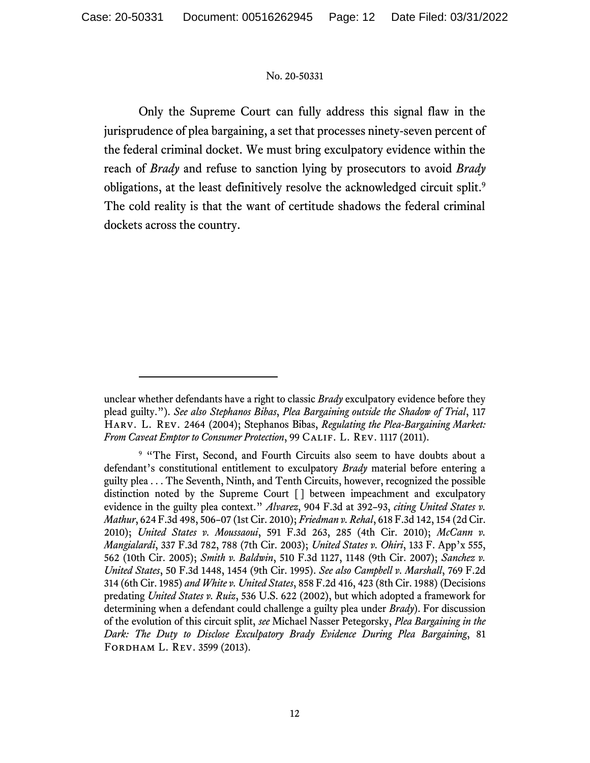Only the Supreme Court can fully address this signal flaw in the jurisprudence of plea bargaining, a set that processes ninety-seven percent of the federal criminal docket. We must bring exculpatory evidence within the reach of *Brady* and refuse to sanction lying by prosecutors to avoid *Brady* obligations, at the least definitively resolve the acknowledged circuit split.<sup>9</sup> The cold reality is that the want of certitude shadows the federal criminal dockets across the country.

unclear whether defendants have a right to classic *Brady* exculpatory evidence before they plead guilty."). *See also Stephanos Bibas*, *Plea Bargaining outside the Shadow of Trial*, 117 Harv. L. Rev. 2464 (2004); Stephanos Bibas, *Regulating the Plea-Bargaining Market: From Caveat Emptor to Consumer Protection*, 99 Calif. L. Rev. 1117 (2011).

<sup>&</sup>lt;sup>9</sup> "The First, Second, and Fourth Circuits also seem to have doubts about a defendant's constitutional entitlement to exculpatory *Brady* material before entering a guilty plea . . . The Seventh, Ninth, and Tenth Circuits, however, recognized the possible distinction noted by the Supreme Court [ ] between impeachment and exculpatory evidence in the guilty plea context." *Alvarez*, 904 F.3d at 392–93, *citing United States v. Mathur*, 624 F.3d 498, 506–07 (1st Cir. 2010); *Friedman v. Rehal*, 618 F.3d 142, 154 (2d Cir. 2010); *United States v. Moussaoui*, 591 F.3d 263, 285 (4th Cir. 2010); *McCann v. Mangialardi*, 337 F.3d 782, 788 (7th Cir. 2003); *United States v. Ohiri*, 133 F. App'x 555, 562 (10th Cir. 2005); *Smith v. Baldwin*, 510 F.3d 1127, 1148 (9th Cir. 2007); *Sanchez v. United States*, 50 F.3d 1448, 1454 (9th Cir. 1995). *See also Campbell v. Marshall*, 769 F.2d 314 (6th Cir. 1985) *and White v. United States*, 858 F.2d 416, 423 (8th Cir. 1988) (Decisions predating *United States v. Ruiz*, 536 U.S. 622 (2002), but which adopted a framework for determining when a defendant could challenge a guilty plea under *Brady*). For discussion of the evolution of this circuit split, *see* Michael Nasser Petegorsky, *Plea Bargaining in the Dark: The Duty to Disclose Exculpatory Brady Evidence During Plea Bargaining*, 81 Fordham L. Rev. 3599 (2013).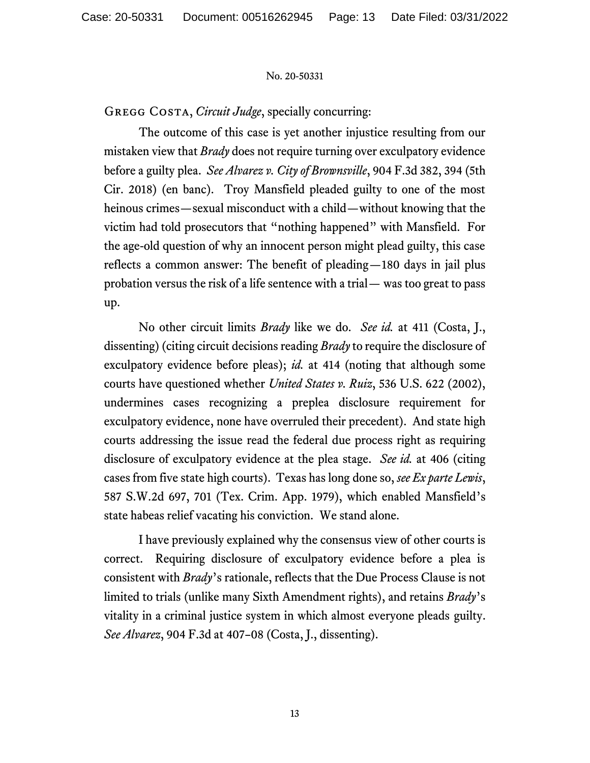GREGG COSTA, *Circuit Judge*, specially concurring:

The outcome of this case is yet another injustice resulting from our mistaken view that *Brady* does not require turning over exculpatory evidence before a guilty plea. *See Alvarez v. City of Brownsville*, 904 F.3d 382, 394 (5th Cir. 2018) (en banc). Troy Mansfield pleaded guilty to one of the most heinous crimes—sexual misconduct with a child—without knowing that the victim had told prosecutors that "nothing happened" with Mansfield. For the age-old question of why an innocent person might plead guilty, this case reflects a common answer: The benefit of pleading—180 days in jail plus probation versus the risk of a life sentence with a trial— was too great to pass up.

No other circuit limits *Brady* like we do. *See id.* at 411 (Costa, J., dissenting) (citing circuit decisions reading *Brady* to require the disclosure of exculpatory evidence before pleas); *id.* at 414 (noting that although some courts have questioned whether *United States v. Ruiz*, 536 U.S. 622 (2002), undermines cases recognizing a preplea disclosure requirement for exculpatory evidence, none have overruled their precedent). And state high courts addressing the issue read the federal due process right as requiring disclosure of exculpatory evidence at the plea stage. *See id.* at 406 (citing cases from five state high courts). Texas has long done so, *see Ex parte Lewis*, 587 S.W.2d 697, 701 (Tex. Crim. App. 1979), which enabled Mansfield's state habeas relief vacating his conviction. We stand alone.

I have previously explained why the consensus view of other courts is correct. Requiring disclosure of exculpatory evidence before a plea is consistent with *Brady*'s rationale, reflects that the Due Process Clause is not limited to trials (unlike many Sixth Amendment rights), and retains *Brady*'s vitality in a criminal justice system in which almost everyone pleads guilty. *See Alvarez*, 904 F.3d at 407–08 (Costa, J., dissenting).